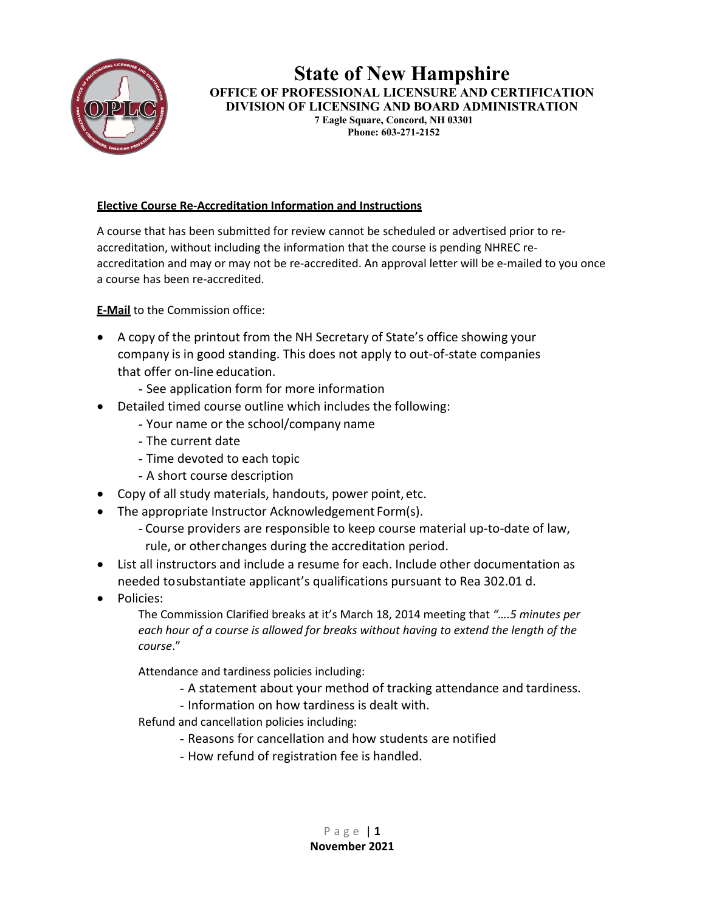

#### **State of New Hampshire OFFICE OF PROFESSIONAL LICENSURE AND CERTIFICATION DIVISION OF LICENSING AND BOARD ADMINISTRATION 7 Eagle Square, Concord, NH 03301 Phone: 603-271-2152**

#### **Elective Course Re-Accreditation Information and Instructions**

A course that has been submitted for review cannot be scheduled or advertised prior to reaccreditation, without including the information that the course is pending NHREC reaccreditation and may or may not be re-accredited. An approval letter will be e-mailed to you once a course has been re-accredited.

**E-Mail** to the Commission office:

- A copy of the printout from the NH Secretary of State's office showing your company is in good standing. This does not apply to out-of-state companies that offer on-line education.
	- See application form for more information
- Detailed timed course outline which includes the following:
	- Your name or the school/company name
	- The current date
	- Time devoted to each topic
	- A short course description
- Copy of all study materials, handouts, power point, etc.
- The appropriate Instructor Acknowledgement Form(s).
	- Course providers are responsible to keep course material up-to-date of law, rule, or otherchanges during the accreditation period.
- List all instructors and include a resume for each. Include other documentation as needed tosubstantiate applicant's qualifications pursuant to Rea 302.01 d.
- Policies:

The Commission Clarified breaks at it's March 18, 2014 meeting that *"….5 minutes per each hour of a course is allowed for breaks without having to extend the length of the course*."

Attendance and tardiness policies including:

- A statement about your method of tracking attendance and tardiness.

- Information on how tardiness is dealt with.
- Refund and cancellation policies including:
	- Reasons for cancellation and how students are notified
	- How refund of registration fee is handled.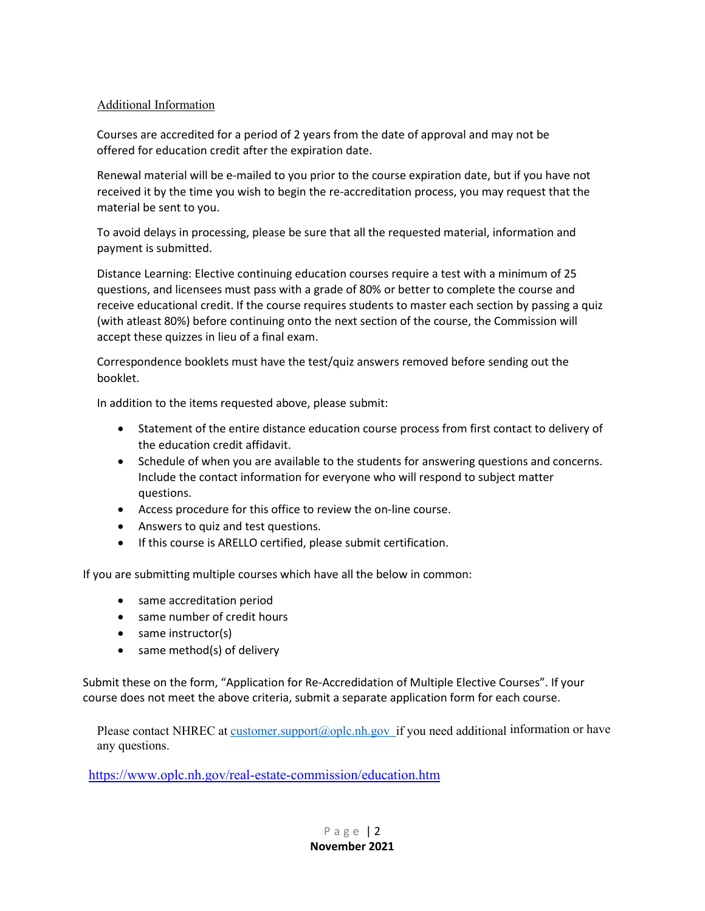#### Additional Information

Courses are accredited for a period of 2 years from the date of approval and may not be offered for education credit after the expiration date.

Renewal material will be e-mailed to you prior to the course expiration date, but if you have not received it by the time you wish to begin the re-accreditation process, you may request that the material be sent to you.

To avoid delays in processing, please be sure that all the requested material, information and payment is submitted.

Distance Learning: Elective continuing education courses require a test with a minimum of 25 questions, and licensees must pass with a grade of 80% or better to complete the course and receive educational credit. If the course requires students to master each section by passing a quiz (with atleast 80%) before continuing onto the next section of the course, the Commission will accept these quizzes in lieu of a final exam.

Correspondence booklets must have the test/quiz answers removed before sending out the booklet.

In addition to the items requested above, please submit:

- Statement of the entire distance education course process from first contact to delivery of the education credit affidavit.
- Schedule of when you are available to the students for answering questions and concerns. Include the contact information for everyone who will respond to subject matter questions.
- Access procedure for this office to review the on-line course.
- Answers to quiz and test questions.
- If this course is ARELLO certified, please submit certification.

If you are submitting multiple courses which have all the below in common:

- same accreditation period
- same number of credit hours
- same instructor(s)
- same method(s) of delivery

Submit these on the form, "Application for Re-Accredidation of Multiple Elective Courses". If your course does not meet the above criteria, submit a separate application form for each course.

Please contact NHREC at customer.support@oplc.nh.gov\_if you need additional information or have any questions.

<https://www.oplc.nh.gov/real-estate-commission/education.htm>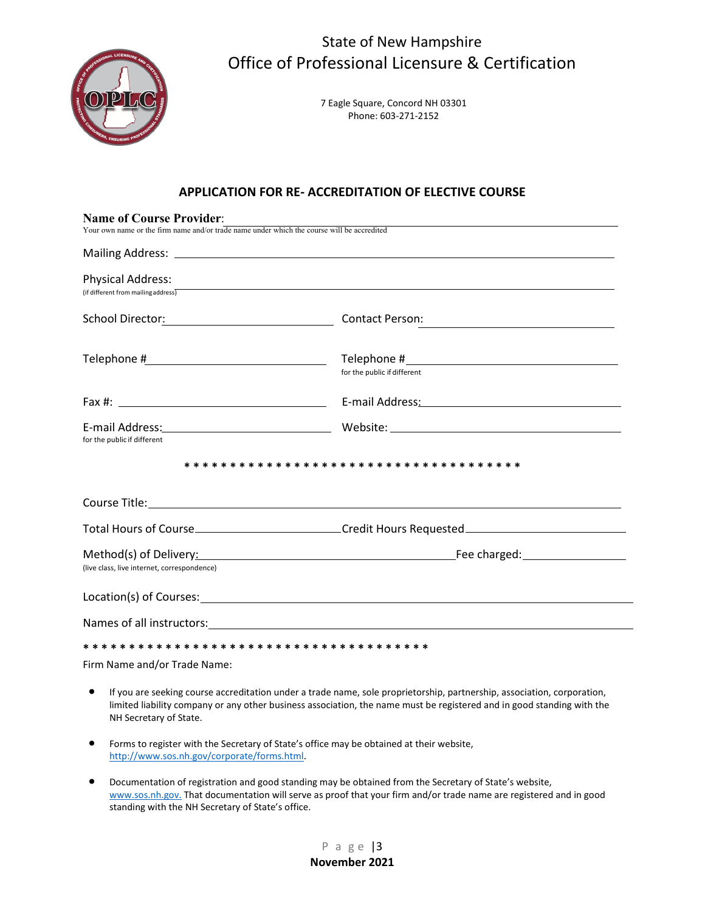

7 Eagle Square, Concord NH 03301 Phone: 603-271-2152

#### **APPLICATION FOR RE- ACCREDITATION OF ELECTIVE COURSE**

| <b>Name of Course Provider:</b><br>Your own name or the firm name and/or trade name under which the course will be accredited |                                                                                                                                                                                                                                |  |
|-------------------------------------------------------------------------------------------------------------------------------|--------------------------------------------------------------------------------------------------------------------------------------------------------------------------------------------------------------------------------|--|
|                                                                                                                               |                                                                                                                                                                                                                                |  |
| <b>Physical Address:</b><br>(if different from mailing address) $\overline{\phantom{a}}$                                      | ,我们也不能在这里,我们也不能会在这里,我们也不能会在这里,我们也不能会在这里,我们也不能会在这里的。""我们,我们也不能会不能会不能会。""我们,我们也不能会                                                                                                                                               |  |
|                                                                                                                               | <b>Contact Person:</b><br><u> 1989 - Andrea Andrew Maria (h. 1989).</u>                                                                                                                                                        |  |
|                                                                                                                               | for the public if different                                                                                                                                                                                                    |  |
|                                                                                                                               | E-mail Address: National Address: National Address: National Address: National Address: National Address                                                                                                                       |  |
| for the public if different                                                                                                   |                                                                                                                                                                                                                                |  |
|                                                                                                                               |                                                                                                                                                                                                                                |  |
|                                                                                                                               |                                                                                                                                                                                                                                |  |
|                                                                                                                               | Total Hours of Course______________________________Credit Hours Requested__________________________                                                                                                                            |  |
| (live class, live internet, correspondence)                                                                                   |                                                                                                                                                                                                                                |  |
|                                                                                                                               | Location(s) of Courses: the contract of the contract of the contract of the contract of the contract of the contract of the contract of the contract of the contract of the contract of the contract of the contract of the co |  |
|                                                                                                                               |                                                                                                                                                                                                                                |  |
|                                                                                                                               |                                                                                                                                                                                                                                |  |

Firm Name and/or Trade Name:

- If you are seeking course accreditation under a trade name, sole proprietorship, partnership, association, corporation, limited liability company or any other business association, the name must be registered and in good standing with the NH Secretary of State.
- Forms to register with the Secretary of State's office may be obtained at their website, [http://www.sos.nh.gov/corporate/forms.html.](http://www.sos.nh.gov/corporate/forms.html)
- Documentation of registration and good standing may be obtained from the Secretary of State's website, [www.sos.nh.gov.](http://www.sos.nh.gov/) That documentation will serve as proof that your firm and/or trade name are registered and in good standing with the NH Secretary of State's office.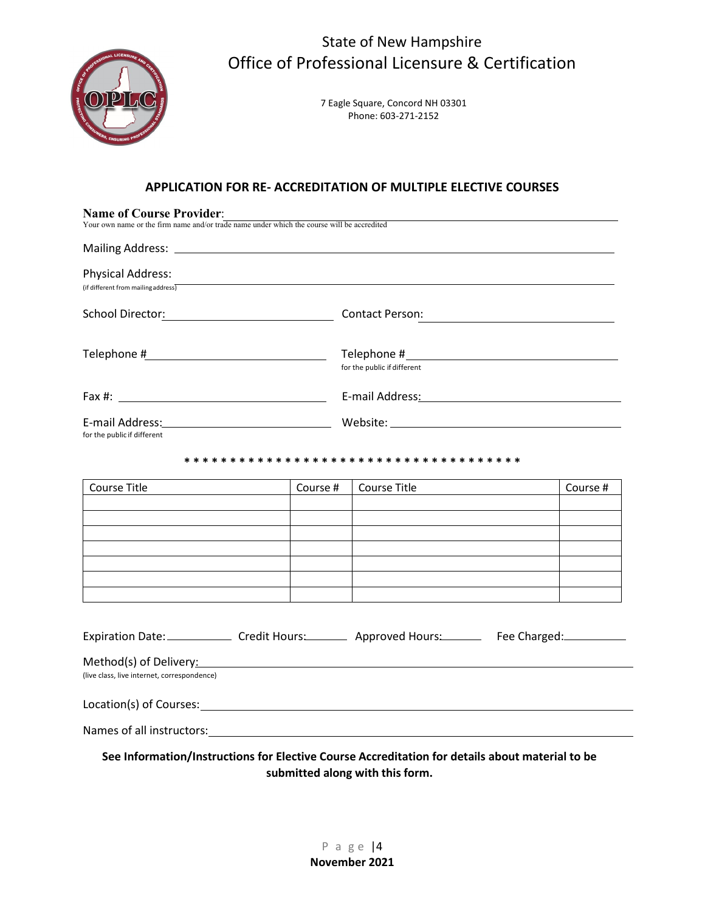

> 7 Eagle Square, Concord NH 03301 Phone: 603-271-2152

#### **APPLICATION FOR RE- ACCREDITATION OF MULTIPLE ELECTIVE COURSES**

| <b>Name of Course Provider:</b><br>Your own name or the firm name and/or trade name under which the course will be accredited |          |                                 |          |  |  |  |
|-------------------------------------------------------------------------------------------------------------------------------|----------|---------------------------------|----------|--|--|--|
|                                                                                                                               |          |                                 |          |  |  |  |
| <b>Physical Address:</b><br>(if different from mailing address)                                                               |          |                                 |          |  |  |  |
| School Director: Contact Person:                                                                                              |          |                                 |          |  |  |  |
|                                                                                                                               |          | for the public if different     |          |  |  |  |
|                                                                                                                               |          |                                 |          |  |  |  |
| for the public if different                                                                                                   |          |                                 |          |  |  |  |
|                                                                                                                               |          |                                 |          |  |  |  |
| Course Title                                                                                                                  | Course # | Course Title                    | Course # |  |  |  |
|                                                                                                                               |          |                                 |          |  |  |  |
|                                                                                                                               |          |                                 |          |  |  |  |
|                                                                                                                               |          |                                 |          |  |  |  |
|                                                                                                                               |          |                                 |          |  |  |  |
|                                                                                                                               |          |                                 |          |  |  |  |
| Expiration Date: Credit Hours: Approved Hours: Fee Charged: Capacase Credit Hours:                                            |          |                                 |          |  |  |  |
| Method(s) of Delivery: Manual Communication of Delivery:<br>(live class, live internet, correspondence)                       |          |                                 |          |  |  |  |
|                                                                                                                               |          |                                 |          |  |  |  |
|                                                                                                                               |          |                                 |          |  |  |  |
| See Information/Instructions for Elective Course Accreditation for details about material to be                               |          | submitted along with this form. |          |  |  |  |

P a g e |4 **November 2021**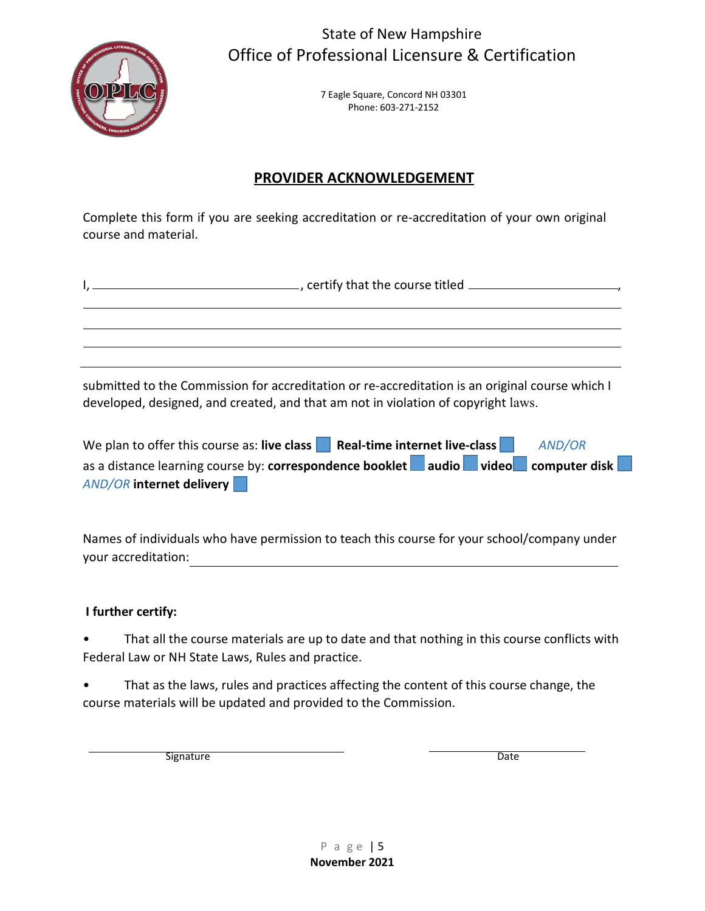

> 7 Eagle Square, Concord NH 03301 Phone: 603-271-2152

## **PROVIDER ACKNOWLEDGEMENT**

Complete this form if you are seeking accreditation or re-accreditation of your own original course and material.

submitted to the Commission for accreditation or re-accreditation is an original course which I developed, designed, and created, and that am not in violation of copyright laws.

| We plan to offer this course as: live class Real-time internet live-class          | <b>AND/OR</b> |  |
|------------------------------------------------------------------------------------|---------------|--|
| as a distance learning course by: correspondence booklet audio video computer disk |               |  |
| <b>AND/OR internet delivery</b>                                                    |               |  |

Names of individuals who have permission to teach this course for your school/company under your accreditation:

### **I further certify:**

That all the course materials are up to date and that nothing in this course conflicts with Federal Law or NH State Laws, Rules and practice.

That as the laws, rules and practices affecting the content of this course change, the course materials will be updated and provided to the Commission.

Signature Date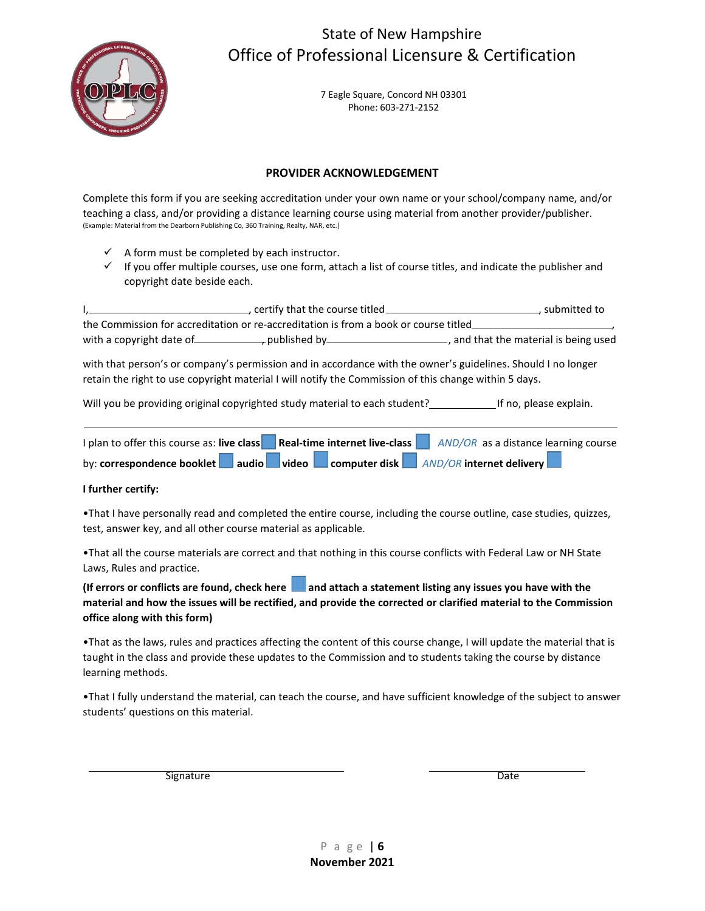

7 Eagle Square, Concord NH 03301 Phone: 603-271-2152

#### **PROVIDER ACKNOWLEDGEMENT**

Complete this form if you are seeking accreditation under your own name or your school/company name, and/or teaching a class, and/or providing a distance learning course using material from another provider/publisher. (Example: Material from the Dearborn Publishing Co, 360 Training, Realty, NAR, etc.)

- $\checkmark$  A form must be completed by each instructor.
- $\checkmark$  If you offer multiple courses, use one form, attach a list of course titles, and indicate the publisher and copyright date beside each.

I, certify that the course titled **CONCOLOGY**, submitted to the Commission for accreditation or re-accreditation is from a book or course titled , with a copyright date of , published by , published by , and that the material is being used

with that person's or company's permission and in accordance with the owner's guidelines. Should I no longer retain the right to use copyright material I will notify the Commission of this change within 5 days.

Will you be providing original copyrighted study material to each student? [169] If no, please explain.

| I plan to offer this course as: live class | Real-time internet live-class |  | AND/OR as a distance learning course |                                                          |
|--------------------------------------------|-------------------------------|--|--------------------------------------|----------------------------------------------------------|
| by: correspondence booklet                 |                               |  |                                      | audio   video   computer disk   AND/OR internet delivery |

#### **I further certify:**

•That I have personally read and completed the entire course, including the course outline, case studies, quizzes, test, answer key, and all other course material as applicable.

•That all the course materials are correct and that nothing in this course conflicts with Federal Law or NH State Laws, Rules and practice.

(If errors or conflicts are found, check here **a** and attach a statement listing any issues you have with the **material and how the issues will be rectified, and provide the corrected or clarified material to the Commission office along with this form)**

•That as the laws, rules and practices affecting the content of this course change, I will update the material that is taught in the class and provide these updates to the Commission and to students taking the course by distance learning methods.

•That I fully understand the material, can teach the course, and have sufficient knowledge of the subject to answer students' questions on this material.

Signature Date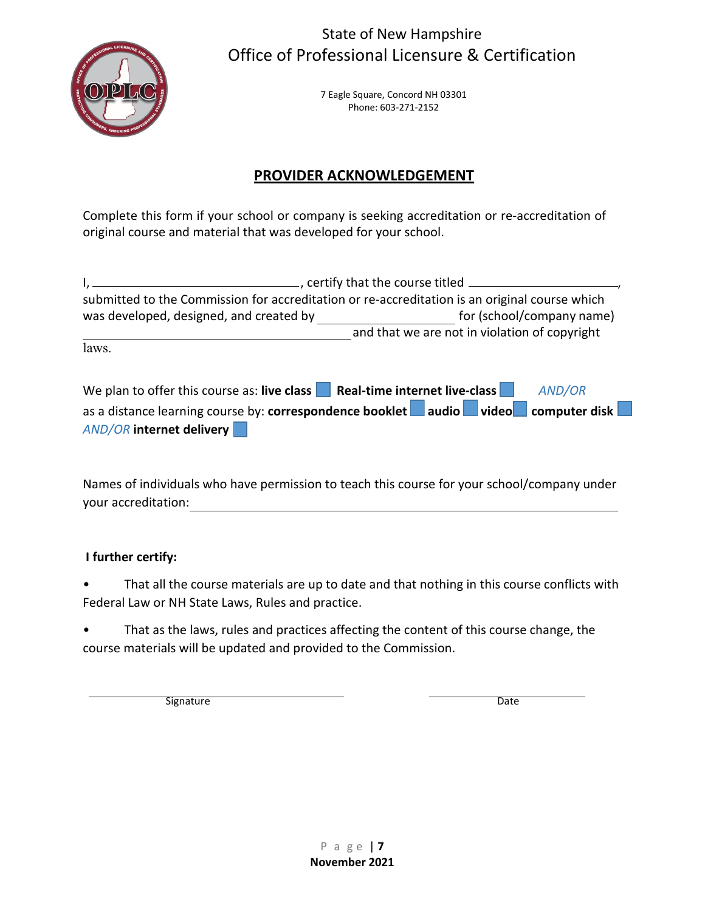

> 7 Eagle Square, Concord NH 03301 Phone: 603-271-2152

# **PROVIDER ACKNOWLEDGEMENT**

Complete this form if your school or company is seeking accreditation or re-accreditation of original course and material that was developed for your school.

|                                                                           | ertify that the course titled entity that the course titled entity                            |
|---------------------------------------------------------------------------|-----------------------------------------------------------------------------------------------|
|                                                                           | submitted to the Commission for accreditation or re-accreditation is an original course which |
| was developed, designed, and created by                                   | for (school/company name)                                                                     |
|                                                                           | and that we are not in violation of copyright                                                 |
| laws.                                                                     |                                                                                               |
|                                                                           |                                                                                               |
| We plan to offer this course as: live class Real-time internet live-class | AND/OR                                                                                        |
|                                                                           | as a distance learning course by: correspondence booklet audio video video computer disk      |
| <b>AND/OR internet delivery</b>                                           |                                                                                               |

Names of individuals who have permission to teach this course for your school/company under your accreditation:

## **I further certify:**

• That all the course materials are up to date and that nothing in this course conflicts with Federal Law or NH State Laws, Rules and practice.

• That as the laws, rules and practices affecting the content of this course change, the course materials will be updated and provided to the Commission.

Signature Date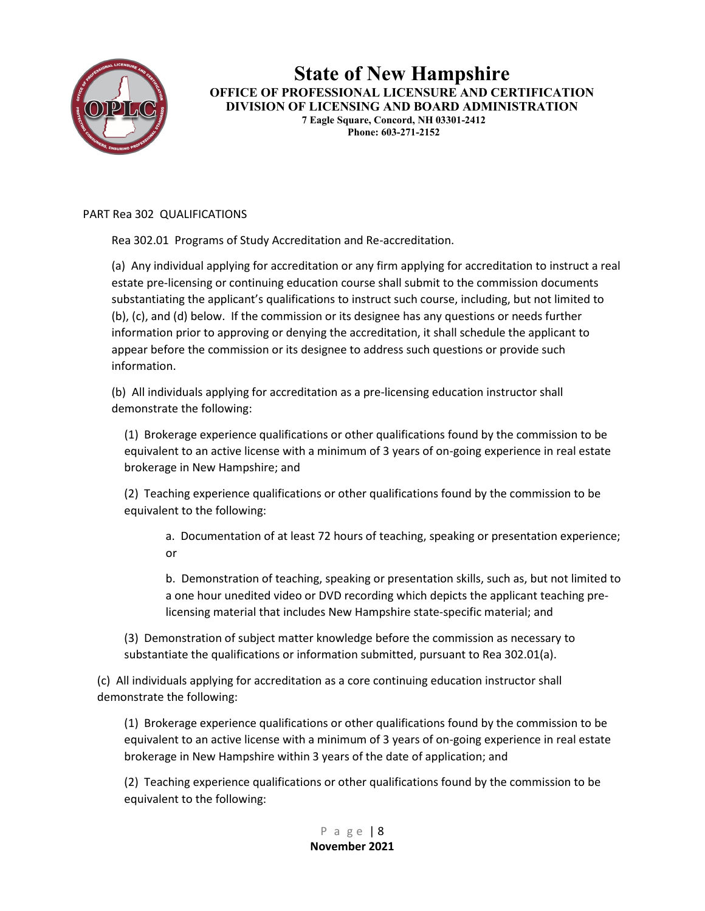

**State of New Hampshire OFFICE OF PROFESSIONAL LICENSURE AND CERTIFICATION DIVISION OF LICENSING AND BOARD ADMINISTRATION 7 Eagle Square, Concord, NH 03301-2412 Phone: 603-271-2152**

PART Rea 302 QUALIFICATIONS

Rea 302.01 Programs of Study Accreditation and Re-accreditation.

(a) Any individual applying for accreditation or any firm applying for accreditation to instruct a real estate pre-licensing or continuing education course shall submit to the commission documents substantiating the applicant's qualifications to instruct such course, including, but not limited to (b), (c), and (d) below. If the commission or its designee has any questions or needs further information prior to approving or denying the accreditation, it shall schedule the applicant to appear before the commission or its designee to address such questions or provide such information.

(b) All individuals applying for accreditation as a pre-licensing education instructor shall demonstrate the following:

(1) Brokerage experience qualifications or other qualifications found by the commission to be equivalent to an active license with a minimum of 3 years of on-going experience in real estate brokerage in New Hampshire; and

(2) Teaching experience qualifications or other qualifications found by the commission to be equivalent to the following:

a. Documentation of at least 72 hours of teaching, speaking or presentation experience; or

b. Demonstration of teaching, speaking or presentation skills, such as, but not limited to a one hour unedited video or DVD recording which depicts the applicant teaching prelicensing material that includes New Hampshire state-specific material; and

(3) Demonstration of subject matter knowledge before the commission as necessary to substantiate the qualifications or information submitted, pursuant to Rea 302.01(a).

(c) All individuals applying for accreditation as a core continuing education instructor shall demonstrate the following:

(1) Brokerage experience qualifications or other qualifications found by the commission to be equivalent to an active license with a minimum of 3 years of on-going experience in real estate brokerage in New Hampshire within 3 years of the date of application; and

(2) Teaching experience qualifications or other qualifications found by the commission to be equivalent to the following: